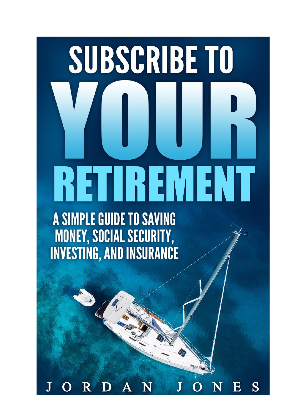# SUBSCRIBE TO RETIREMENT

A SIMPLE GUIDE TO SAVING **MONEY, SOCIAL SECURITY,<br>INVESTING, AND INSURANCE** 

N  $\boldsymbol{\mathrm{E}}$ S D  $\mathbf N$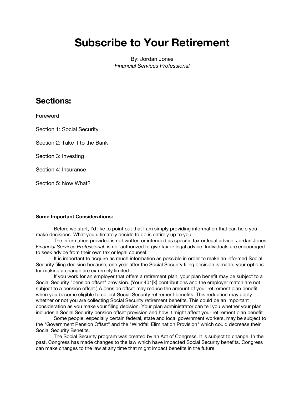# **Subscribe to Your Retirement**

By: Jordan Jones *Financial Services Professional*

## **Sections:**

Foreword

Section 1: Social Security

Section 2: Take it to the Bank

Section 3: Investing

Section 4: Insurance

Section 5: Now What?

#### **Some Important Considerations:**

Before we start, I'd like to point out that I am simply providing information that can help you make decisions. What you ultimately decide to do is entirely up to you.

The information provided is not written or intended as specific tax or legal advice. Jordan Jones, *Financial Services Professional*, is not authorized to give tax or legal advice. Individuals are encouraged to seek advice from their own tax or legal counsel.

It is important to acquire as much information as possible in order to make an informed Social Security filing decision because, one year after the Social Security filing decision is made, your options for making a change are extremely limited.

If you work for an employer that offers a retirement plan, your plan benefit may be subject to a Social Security "pension offset" provision. (Your 401[k] contributions and the employer match are not subject to a pension offset.) A pension offset may reduce the amount of your retirement plan benefit when you become eligible to collect Social Security retirement benefits. This reduction may apply whether or not you are collecting Social Security retirement benefits. This could be an important consideration as you make your filing decision. Your plan administrator can tell you whether your plan includes a Social Security pension offset provision and how it might affect your retirement plan benefit.

Some people, especially certain federal, state and local government workers, may be subject to the "Government Pension Offset" and the "Windfall Elimination Provision" which could decrease their Social Security Benefits.

The Social Security program was created by an Act of Congress. It is subject to change. In the past, Congress has made changes to the law which have impacted Social Security benefits. Congress can make changes to the law at any time that might impact benefits in the future.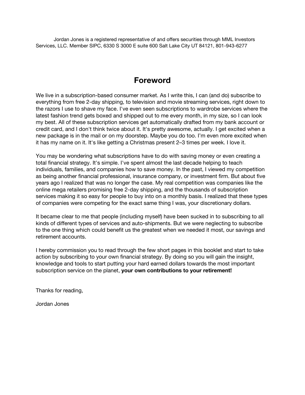Jordan Jones is a registered representative of and offers securities through MML Investors Services, LLC. Member SIPC, 6330 S 3000 E suite 600 Salt Lake City UT 84121, 801-943-6277

## **Foreword**

We live in a subscription-based consumer market. As I write this, I can (and do) subscribe to everything from free 2-day shipping, to television and movie streaming services, right down to the razors I use to shave my face. I've even seen subscriptions to wardrobe services where the latest fashion trend gets boxed and shipped out to me every month, in my size, so I can look my best. All of these subscription services get automatically drafted from my bank account or credit card, and I don't think twice about it. It's pretty awesome, actually. I get excited when a new package is in the mail or on my doorstep. Maybe you do too. I'm even more excited when it has my name on it. It's like getting a Christmas present 2–3 times per week. I love it.

You may be wondering what subscriptions have to do with saving money or even creating a total financial strategy. It's simple. I've spent almost the last decade helping to teach individuals, families, and companies how to save money. In the past, I viewed my competition as being another financial professional, insurance company, or investment firm. But about five years ago I realized that was no longer the case. My real competition was companies like the online mega retailers promising free 2-day shipping, and the thousands of subscription services making it so easy for people to buy into on a monthly basis. I realized that these types of companies were competing for the exact same thing I was, your discretionary dollars.

It became clear to me that people (including myself) have been sucked in to subscribing to all kinds of different types of services and auto-shipments. But we were neglecting to subscribe to the one thing which could benefit us the greatest when we needed it most, our savings and retirement accounts.

I hereby commission you to read through the few short pages in this booklet and start to take action by subscribing to your own financial strategy. By doing so you will gain the insight, knowledge and tools to start putting your hard earned dollars towards the most important subscription service on the planet, **your own contributions to your retirement!**

Thanks for reading,

Jordan Jones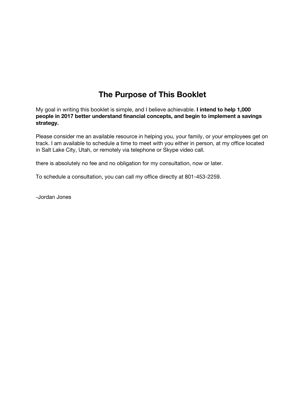# **The Purpose of This Booklet**

My goal in writing this booklet is simple, and I believe achievable. **I intend to help 1,000 people in 2017 better understand financial concepts, and begin to implement a savings strategy.**

Please consider me an available resource in helping you, your family, or your employees get on track. I am available to schedule a time to meet with you either in person, at my office located in Salt Lake City, Utah, or remotely via telephone or Skype video call.

there is absolutely no fee and no obligation for my consultation, now or later.

To schedule a consultation, you can call my office directly at 801-453-2259.

-Jordan Jones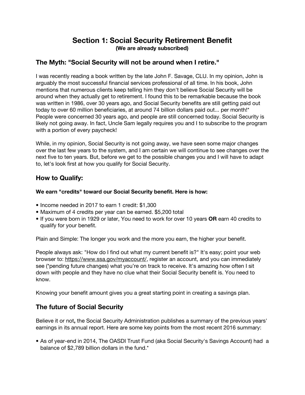## **Section 1: Social Security Retirement Benefit (We are already subscribed)**

## **The Myth: "Social Security will not be around when I retire."**

I was recently reading a book written by the late John F. Savage, CLU. In my opinion, John is arguably the most successful financial services professional of all time. In his book, John mentions that numerous clients keep telling him they don't believe Social Security will be around when they actually get to retirement. I found this to be remarkable because the book was written in 1986, over 30 years ago, and Social Security benefits are still getting paid out today to over 60 million beneficiaries, at around 74 billion dollars paid out... per month!\* People were concerned 30 years ago, and people are still concerned today. Social Security is likely not going away. In fact, Uncle Sam legally requires you and I to subscribe to the program with a portion of every paycheck!

While, in my opinion, Social Security is not going away, we have seen some major changes over the last few years to the system, and I am certain we will continue to see changes over the next five to ten years. But, before we get to the possible changes you and I will have to adapt to, let's look first at how you qualify for Social Security.

## **How to Qualify:**

#### **We earn "credits" toward our Social Security benefit. Here is how:**

- Income needed in 2017 to earn 1 credit: \$1,300
- Maximum of 4 credits per year can be earned. \$5,200 total
- If you were born in 1929 or later, You need to work for over 10 years **OR** earn 40 credits to qualify for your benefit.

Plain and Simple: The longer you work and the more you earn, the higher your benefit.

People always ask: "How do I find out what my current benefit is?" It's easy; point your web browser to: <https://www.ssa.gov/myaccount/>, register an account, and you can immediately see (\*pending future changes) what you're on track to receive. It's amazing how often I sit down with people and they have no clue what their Social Security benefit is. You need to know.

Knowing your benefit amount gives you a great starting point in creating a savings plan.

## **The future of Social Security**

Believe it or not**,** the Social Security Administration publishes a summary of the previous years' earnings in its annual report. Here are some key points from the most recent 2016 summary:

**•** As of year-end in 2014, The OASDI Trust Fund (aka Social Security's Savings Account) had a balance of \$2,789 billion dollars in the fund.\*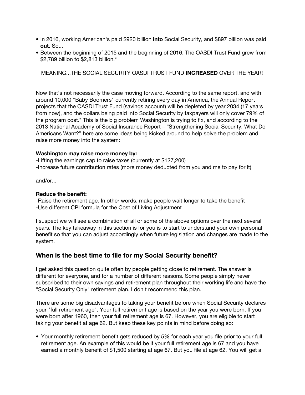- **•** In 2016, working American's paid \$920 billion **into** Social Security, and \$897 billion was paid **out.** So...
- Between the beginning of 2015 and the beginning of 2016, The OASDI Trust Fund grew from \$2,789 billion to \$2,813 billion.\*

MEANING...THE SOCIAL SECURITY OASDI TRUST FUND **INCREASED** OVER THE YEAR!

Now that's not necessarily the case moving forward. According to the same report, and with around 10,000 "Baby Boomers" currently retiring every day in America, the Annual Report projects that the OASDI Trust Fund (savings account) will be depleted by year 2034 (17 years from now), and the dollars being paid into Social Security by taxpayers will only cover 79% of the program cost.\* This is the big problem Washington is trying to fix, and according to the 2013 National Academy of Social Insurance Report – "Strengthening Social Security, What Do Americans Want?" here are some ideas being kicked around to help solve the problem and raise more money into the system:

#### **Washington may raise more money by:**

-Lifting the earnings cap to raise taxes (currently at \$127,200) -Increase future contribution rates (more money deducted from you and me to pay for it)

and/or...

#### **Reduce the benefit:**

-Raise the retirement age. In other words, make people wait longer to take the benefit -Use different CPI formula for the Cost of Living Adjustment

I suspect we will see a combination of all or some of the above options over the next several years. The key takeaway in this section is for you is to start to understand your own personal benefit so that you can adjust accordingly when future legislation and changes are made to the system.

### **When is the best time to file for my Social Security benefit?**

I get asked this question quite often by people getting close to retirement. The answer is different for everyone, and for a number of different reasons. Some people simply never subscribed to their own savings and retirement plan throughout their working life and have the "Social Security Only" retirement plan. I don't recommend this plan.

There are some big disadvantages to taking your benefit before when Social Security declares your "full retirement age". Your full retirement age is based on the year you were born. If you were born after 1960, then your full retirement age is 67. However, you are eligible to start taking your benefit at age 62. But keep these key points in mind before doing so:

**•** Your monthly retirement benefit gets reduced by 5% for each year you file prior to your full retirement age. An example of this would be if your full retirement age is 67 and you have earned a monthly benefit of \$1,500 starting at age 67. But you file at age 62. You will get a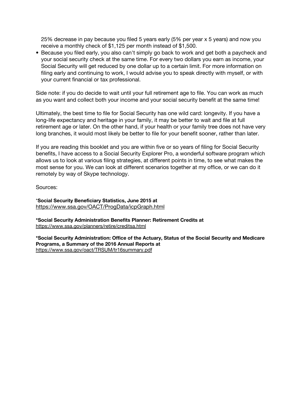25% decrease in pay because you filed 5 years early (5% per year x 5 years) and now you receive a monthly check of \$1,125 per month instead of \$1,500.

**•** Because you filed early, you also can't simply go back to work and get both a paycheck and your social security check at the same time. For every two dollars you earn as income, your Social Security will get reduced by one dollar up to a certain limit. For more information on filing early and continuing to work, I would advise you to speak directly with myself, or with your current financial or tax professional.

Side note: if you do decide to wait until your full retirement age to file. You can work as much as you want and collect both your income and your social security benefit at the same time!

Ultimately, the best time to file for Social Security has one wild card: longevity. If you have a long-life expectancy and heritage in your family, it may be better to wait and file at full retirement age or later. On the other hand, if your health or your family tree does not have very long branches, it would most likely be better to file for your benefit sooner, rather than later.

If you are reading this booklet and you are within five or so years of filing for Social Security benefits, I have access to a Social Security Explorer Pro, a wonderful software program which allows us to look at various filing strategies, at different points in time, to see what makes the most sense for you. We can look at different scenarios together at my office, or we can do it remotely by way of Skype technology.

Sources:

\***Social Security Beneficiary Statistics, June 2015 at** <https://www.ssa.gov/OACT/ProgData/icpGraph.html>

**\*Social Security Administration Benefits Planner: Retirement Credits at** <https://www.ssa.gov/planners/retire/creditsa.html>

**\*Social Security Administration: Office of the Actuary, Status of the Social Security and Medicare Programs, a Summary of the 2016 Annual Reports at** <https://www.ssa.gov/oact/TRSUM/tr16summary.pdf>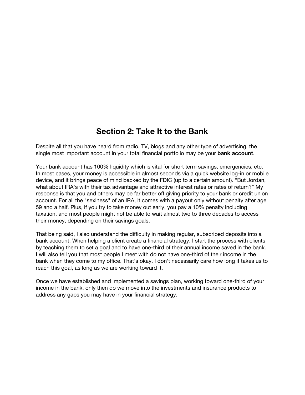# **Section 2: Take It to the Bank**

Despite all that you have heard from radio, TV, blogs and any other type of advertising, the single most important account in your total financial portfolio may be your **bank account**.

Your bank account has 100% liquidity which is vital for short term savings, emergencies, etc. In most cases, your money is accessible in almost seconds via a quick website log-in or mobile device, and it brings peace of mind backed by the FDIC (up to a certain amount). "But Jordan, what about IRA's with their tax advantage and attractive interest rates or rates of return?" My response is that you and others may be far better off giving priority to your bank or credit union account. For all the "sexiness" of an IRA, it comes with a payout only without penalty after age 59 and a half. Plus, if you try to take money out early, you pay a 10% penalty including taxation, and most people might not be able to wait almost two to three decades to access their money, depending on their savings goals.

That being said, I also understand the difficulty in making regular, subscribed deposits into a bank account. When helping a client create a financial strategy, I start the process with clients by teaching them to set a goal and to have one-third of their annual income saved in the bank. I will also tell you that most people I meet with do not have one-third of their income in the bank when they come to my office. That's okay. I don't necessarily care how long it takes us to reach this goal, as long as we are working toward it.

Once we have established and implemented a savings plan, working toward one-third of your income in the bank, only then do we move into the investments and insurance products to address any gaps you may have in your financial strategy.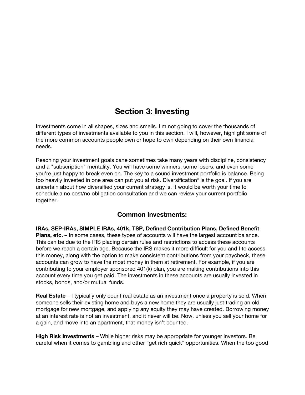# **Section 3: Investing**

Investments come in all shapes, sizes and smells. I'm not going to cover the thousands of different types of investments available to you in this section. I will, however, highlight some of the more common accounts people own or hope to own depending on their own financial needs.

Reaching your investment goals cane sometimes take many years with discipline, consistency and a "subscription" mentality. You will have some winners, some losers, and even some you're just happy to break even on. The key to a sound investment portfolio is balance. Being too heavily invested in one area can put you at risk. Diversification\* is the goal. If you are uncertain about how diversified your current strategy is, it would be worth your time to schedule a no cost/no obligation consultation and we can review your current portfolio together.

## **Common Investments:**

**IRAs, SEP-IRAs, SIMPLE IRAs, 401k, TSP, Defined Contribution Plans, Defined Benefit Plans, etc.** – In some cases, these types of accounts will have the largest account balance. This can be due to the IRS placing certain rules and restrictions to access these accounts before we reach a certain age. Because the IRS makes it more difficult for you and I to access this money, along with the option to make consistent contributions from your paycheck, these accounts can grow to have the most money in them at retirement. For example, if you are contributing to your employer sponsored 401(k) plan, you are making contributions into this account every time you get paid. The investments in these accounts are usually invested in stocks, bonds, and/or mutual funds.

**Real Estate** – I typically only count real estate as an investment once a property is sold. When someone sells their existing home and buys a new home they are usually just trading an old mortgage for new mortgage, and applying any equity they may have created. Borrowing money at an interest rate is not an investment, and it never will be. Now, unless you sell your home for a gain, and move into an apartment, that money isn't counted.

**High Risk Investments** – While higher risks may be appropriate for younger investors. Be careful when it comes to gambling and other "get rich quick" opportunities. When the too good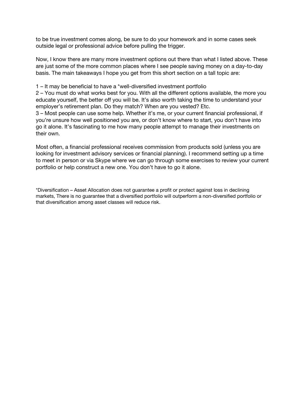to be true investment comes along, be sure to do your homework and in some cases seek outside legal or professional advice before pulling the trigger.

Now, I know there are many more investment options out there than what I listed above. These are just some of the more common places where I see people saving money on a day-to-day basis. The main takeaways I hope you get from this short section on a tall topic are:

1 – It may be beneficial to have a \*well-diversified investment portfolio

2 – You must do what works best for you. With all the different options available, the more you educate yourself, the better off you will be. It's also worth taking the time to understand your employer's retirement plan. Do they match? When are you vested? Etc.

3 – Most people can use some help. Whether it's me, or your current financial professional, if you're unsure how well positioned you are, or don't know where to start, you don't have into go it alone. It's fascinating to me how many people attempt to manage their investments on their own.

Most often, a financial professional receives commission from products sold (unless you are looking for investment advisory services or financial planning). I recommend setting up a time to meet in person or via Skype where we can go through some exercises to review your current portfolio or help construct a new one. You don't have to go it alone.

\*Diversification – Asset Allocation does not guarantee a profit or protect against loss in declining markets, There is no guarantee that a diversified portfolio will outperform a non-diversified portfolio or that diversification among asset classes will reduce risk.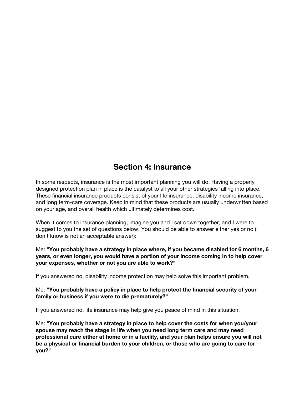## **Section 4: Insurance**

In some respects, insurance is the most important planning you will do. Having a properly designed protection plan in place is the catalyst to all your other strategies falling into place. These financial insurance products consist of your life insurance, disability income insurance, and long term-care coverage. Keep in mind that these products are usually underwritten based on your age, and overall health which ultimately determines cost.

When it comes to insurance planning, imagine you and I sat down together, and I were to suggest to you the set of questions below. You should be able to answer either yes or no (I don't know is not an acceptable answer):

Me: **"You probably have a strategy in place where, if you became disabled for 6 months, 6 years, or even longer, you would have a portion of your income coming in to help cover your expenses, whether or not you are able to work?"**

If you answered no, disability income protection may help solve this important problem.

Me: **"You probably have a policy in place to help protect the financial security of your family or business if you were to die prematurely?"**

If you answered no, life insurance may help give you peace of mind in this situation.

Me: **"You probably have a strategy in place to help cover the costs for when you/your spouse may reach the stage in life when you need long term care and may need professional care either at home or in a facility, and your plan helps ensure you will not be a physical or financial burden to your children, or those who are going to care for you?"**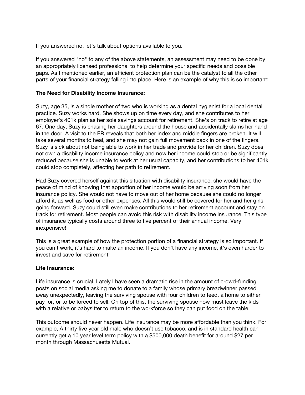If you answered no, let's talk about options available to you.

If you answered "no" to any of the above statements, an assessment may need to be done by an appropriately licensed professional to help determine your specific needs and possible gaps. As I mentioned earlier, an efficient protection plan can be the catalyst to all the other parts of your financial strategy falling into place. Here is an example of why this is so important:

#### **The Need for Disability Income Insurance:**

Suzy, age 35, is a single mother of two who is working as a dental hygienist for a local dental practice. Suzy works hard. She shows up on time every day, and she contributes to her employer's 401k plan as her sole savings account for retirement. She's on track to retire at age 67. One day, Suzy is chasing her daughters around the house and accidentally slams her hand in the door. A visit to the ER reveals that both her index and middle fingers are broken. It will take several months to heal, and she may not gain full movement back in one of the fingers. Suzy is sick about not being able to work in her trade and provide for her children. Suzy does not own a disability income insurance policy and now her income could stop or be significantly reduced because she is unable to work at her usual capacity, and her contributions to her 401k could stop completely, affecting her path to retirement.

Had Suzy covered herself against this situation with disability insurance, she would have the peace of mind of knowing that apportion of her income would be arriving soon from her insurance policy. She would not have to move out of her home because she could no longer afford it, as well as food or other expenses. All this would still be covered for her and her girls going forward. Suzy could still even make contributions to her retirement account and stay on track for retirement. Most people can avoid this risk with disability income insurance. This type of insurance typically costs around three to five percent of their annual income. Very inexpensive!

This is a great example of how the protection portion of a financial strategy is so important. If you can't work, it's hard to make an income. If you don't have any income, it's even harder to invest and save for retirement!

#### **Life Insurance:**

Life insurance is crucial. Lately I have seen a dramatic rise in the amount of crowd-funding posts on social media asking me to donate to a family whose primary breadwinner passed away unexpectedly, leaving the surviving spouse with four children to feed, a home to either pay for, or to be forced to sell. On top of this, the surviving spouse now must leave the kids with a relative or babysitter to return to the workforce so they can put food on the table.

This outcome should never happen. Life insurance may be more affordable than you think. For example, A thirty five year old male who doesn't use tobacco, and is in standard health can currently get a 10 year level term policy with a \$500,000 death benefit for around \$27 per month through Massachusetts Mutual.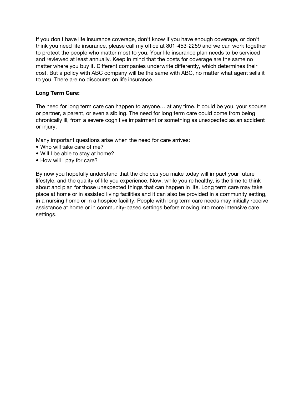If you don't have life insurance coverage, don't know if you have enough coverage, or don't think you need life insurance, please call my office at 801-453-2259 and we can work together to protect the people who matter most to you. Your life insurance plan needs to be serviced and reviewed at least annually. Keep in mind that the costs for coverage are the same no matter where you buy it. Different companies underwrite differently, which determines their cost. But a policy with ABC company will be the same with ABC, no matter what agent sells it to you. There are no discounts on life insurance.

#### **Long Term Care:**

The need for long term care can happen to anyone… at any time. It could be you, your spouse or partner, a parent, or even a sibling. The need for long term care could come from being chronically ill, from a severe cognitive impairment or something as unexpected as an accident or injury.

Many important questions arise when the need for care arrives:

- Who will take care of me?
- Will I be able to stay at home?
- How will I pay for care?

By now you hopefully understand that the choices you make today will impact your future lifestyle, and the quality of life you experience. Now, while you're healthy, is the time to think about and plan for those unexpected things that can happen in life. Long term care may take place at home or in assisted living facilities and it can also be provided in a community setting, in a nursing home or in a hospice facility. People with long term care needs may initially receive assistance at home or in community-based settings before moving into more intensive care settings.